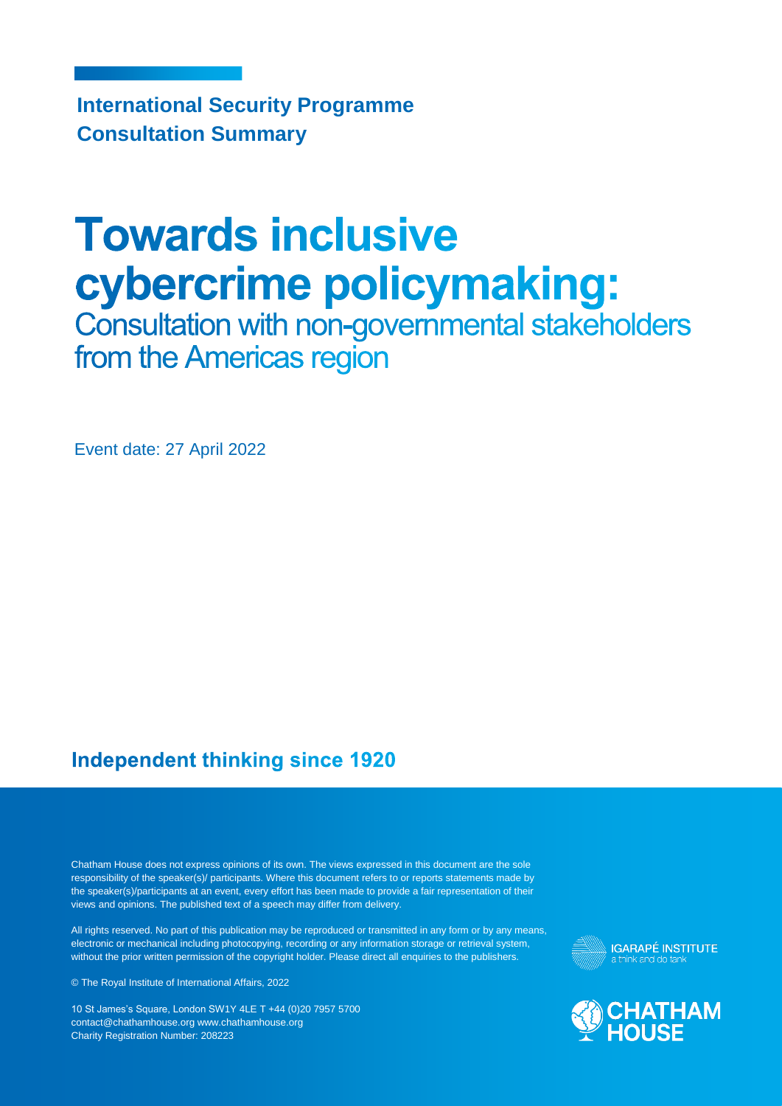**International Security Programme Consultation Summary**

# **Towards inclusive** cybercrime policymaking:

Consultation with non-governmental stakeholders from the Americas region

Event date: 27 April 2022

#### **Independent thinking since 1920**

Chatham House does not express opinions of its own. The views expressed in this document are the sole responsibility of the speaker(s)/ participants. Where this document refers to or reports statements made by the speaker(s)/participants at an event, every effort has been made to provide a fair representation of their views and opinions. The published text of a speech may differ from delivery.

All rights reserved. No part of this publication may be reproduced or transmitted in any form or by any means, electronic or mechanical including photocopying, recording or any information storage or retrieval system, without the prior written permission of the copyright holder. Please direct all enquiries to the publishers.

© The Royal Institute of International Affairs, 2022

10 St James's Square, London SW1Y 4LE T +44 (0)20 7957 5700 contact@chathamhouse.org www.chathamhouse.org Charity Registration Number: 208223



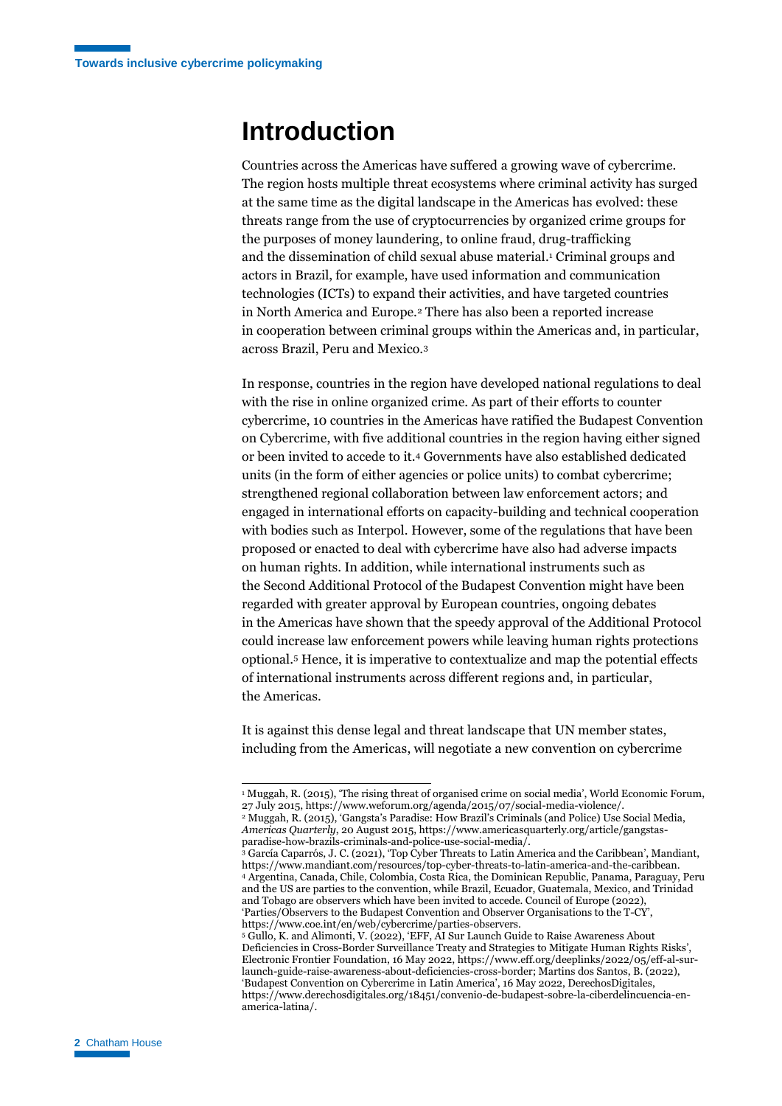### **Introduction**

Countries across the Americas have suffered a growing wave of cybercrime. The region hosts multiple threat ecosystems where criminal activity has surged at the same time as the digital landscape in the Americas has evolved: these threats range from the use of cryptocurrencies by organized crime groups for the purposes of money laundering, to online fraud, drug-trafficking and the dissemination of child sexual abuse material. <sup>1</sup> Criminal groups and actors in Brazil, for example, have used information and communication technologies (ICTs) to expand their activities, and have targeted countries in North America and Europe.<sup>2</sup> There has also been a reported increase in cooperation between criminal groups within the Americas and, in particular, across Brazil, Peru and Mexico.<sup>3</sup>

In response, countries in the region have developed national regulations to deal with the rise in online organized crime. As part of their efforts to counter cybercrime, 10 countries in the Americas have ratified the Budapest Convention on Cybercrime, with five additional countries in the region having either signed or been invited to accede to it. <sup>4</sup> Governments have also established dedicated units (in the form of either agencies or police units) to combat cybercrime; strengthened regional collaboration between law enforcement actors; and engaged in international efforts on capacity-building and technical cooperation with bodies such as Interpol. However, some of the regulations that have been proposed or enacted to deal with cybercrime have also had adverse impacts on human rights. In addition, while international instruments such as the Second Additional Protocol of the Budapest Convention might have been regarded with greater approval by European countries, ongoing debates in the Americas have shown that the speedy approval of the Additional Protocol could increase law enforcement powers while leaving human rights protections optional.<sup>5</sup> Hence, it is imperative to contextualize and map the potential effects of international instruments across different regions and, in particular, the Americas.

It is against this dense legal and threat landscape that UN member states, including from the Americas, will negotiate a new convention on cybercrime

<sup>&</sup>lt;sup>1</sup> Muggah, R. (2015), 'The rising threat of organised crime on social media', World Economic Forum, 27 July 2015, https://www.weforum.org/agenda/2015/07/social-media-violence/. <sup>2</sup> Muggah, R. (2015), 'Gangsta's Paradise: How Brazil's Criminals (and Police) Use Social Media,

*Americas Quarterly*, 20 August 2015, https://www.americasquarterly.org/article/gangstasparadise-how-brazils-criminals-and-police-use-social-media/.

<sup>&</sup>lt;sup>3</sup> García Caparrós, J. C. (2021), 'Top Cyber Threats to Latin America and the Caribbean', Mandiant, https://www.mandiant.com/resources/top-cyber-threats-to-latin-america-and-the-caribbean. <sup>4</sup> Argentina, Canada, Chile, Colombia, Costa Rica, the Dominican Republic, Panama, Paraguay, Peru and the US are parties to the convention, while Brazil, Ecuador, Guatemala, Mexico, and Trinidad and Tobago are observers which have been invited to accede. Council of Europe (2022), 'Parties/Observers to the Budapest Convention and Observer Organisations to the T-CY', https://www.coe.int/en/web/cybercrime/parties-observers.

<sup>5</sup> Gullo, K. and Alimonti, V. (2022), 'EFF, AI Sur Launch Guide to Raise Awareness About Deficiencies in Cross-Border Surveillance Treaty and Strategies to Mitigate Human Rights Risks', Electronic Frontier Foundation, 16 May 2022, https://www.eff.org/deeplinks/2022/05/eff-al-surlaunch-guide-raise-awareness-about-deficiencies-cross-border; Martins dos Santos, B. (2022), 'Budapest Convention on Cybercrime in Latin America', 16 May 2022, DerechosDigitales, https://www.derechosdigitales.org/18451/convenio-de-budapest-sobre-la-ciberdelincuencia-enamerica-latina/.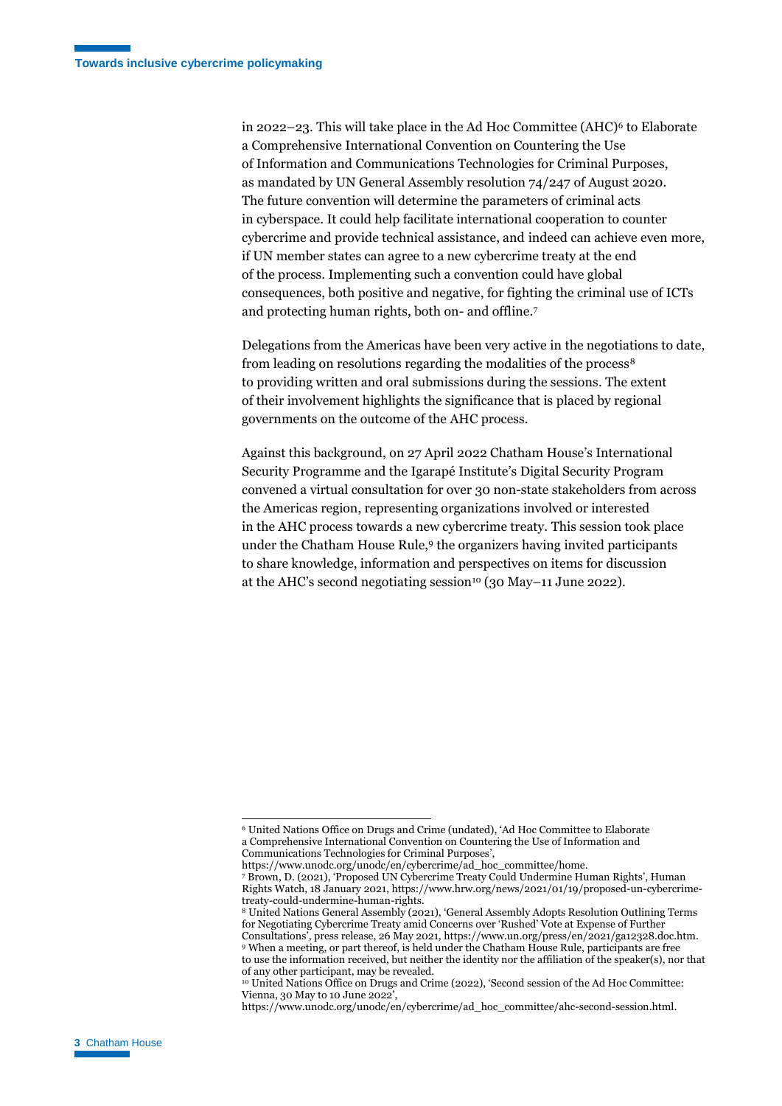in 2022–23. This will take place in the Ad Hoc Committee (AHC) $\epsilon$  to Elaborate a Comprehensive International Convention on Countering the Use of Information and Communications Technologies for Criminal Purposes, as mandated by UN General Assembly resolution 74/247 of August 2020. The future convention will determine the parameters of criminal acts in cyberspace. It could help facilitate international cooperation to counter cybercrime and provide technical assistance, and indeed can achieve even more, if UN member states can agree to a new cybercrime treaty at the end of the process. Implementing such a convention could have global consequences, both positive and negative, for fighting the criminal use of ICTs and protecting human rights, both on- and offline.<sup>7</sup>

Delegations from the Americas have been very active in the negotiations to date, from leading on resolutions regarding the modalities of the process<sup>8</sup> to providing written and oral submissions during the sessions. The extent of their involvement highlights the significance that is placed by regional governments on the outcome of the AHC process.

Against this background, on 27 April 2022 Chatham House's International Security Programme and the Igarapé Institute's Digital Security Program convened a virtual consultation for over 30 non-state stakeholders from across the Americas region, representing organizations involved or interested in the AHC process towards a new cybercrime treaty. This session took place under the Chatham House Rule,<sup>9</sup> the organizers having invited participants to share knowledge, information and perspectives on items for discussion at the AHC's second negotiating session<sup>10</sup> (30 May–11 June 2022).

<sup>6</sup> United Nations Office on Drugs and Crime (undated), 'Ad Hoc Committee to Elaborate a Comprehensive International Convention on Countering the Use of Information and Communications Technologies for Criminal Purposes',

https://www.unodc.org/unodc/en/cybercrime/ad\_hoc\_committee/home.

<sup>7</sup> Brown, D. (2021), 'Proposed UN Cybercrime Treaty Could Undermine Human Rights', Human Rights Watch, 18 January 2021, https://www.hrw.org/news/2021/01/19/proposed-un-cybercrimetreaty-could-undermine-human-rights.

<sup>8</sup> United Nations General Assembly (2021), 'General Assembly Adopts Resolution Outlining Terms for Negotiating Cybercrime Treaty amid Concerns over 'Rushed' Vote at Expense of Further Consultations', press release, 26 May 2021, https://www.un.org/press/en/2021/ga12328.doc.htm. <sup>9</sup> When a meeting, or part thereof, is held under the Chatham House Rule, participants are free to use the information received, but neither the identity nor the affiliation of the speaker(s), nor that of any other participant, may be revealed.

<sup>10</sup> United Nations Office on Drugs and Crime (2022), 'Second session of the Ad Hoc Committee: Vienna, 30 May to 10 June 2022',

https://www.unodc.org/unodc/en/cybercrime/ad\_hoc\_committee/ahc-second-session.html.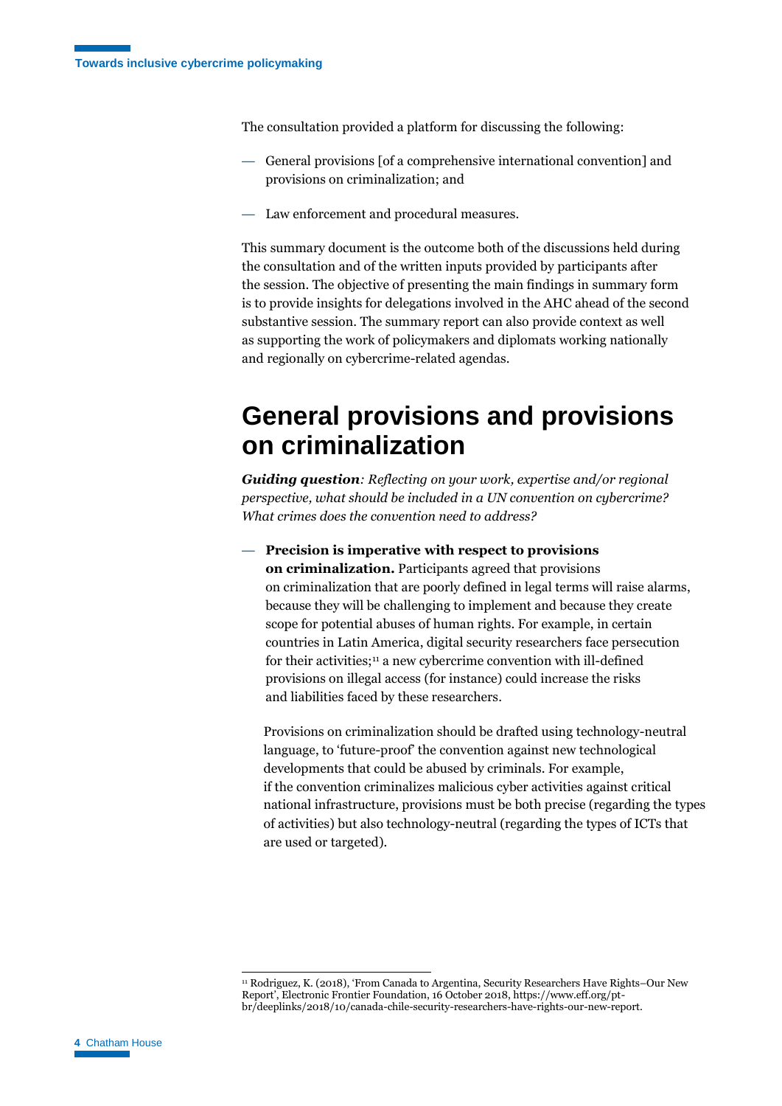The consultation provided a platform for discussing the following:

- General provisions [of a comprehensive international convention] and provisions on criminalization; and
- Law enforcement and procedural measures.

This summary document is the outcome both of the discussions held during the consultation and of the written inputs provided by participants after the session. The objective of presenting the main findings in summary form is to provide insights for delegations involved in the AHC ahead of the second substantive session. The summary report can also provide context as well as supporting the work of policymakers and diplomats working nationally and regionally on cybercrime-related agendas.

## **General provisions and provisions on criminalization**

*Guiding question: Reflecting on your work, expertise and/or regional perspective, what should be included in a UN convention on cybercrime? What crimes does the convention need to address?*

— **Precision is imperative with respect to provisions on criminalization.** Participants agreed that provisions on criminalization that are poorly defined in legal terms will raise alarms, because they will be challenging to implement and because they create scope for potential abuses of human rights. For example, in certain countries in Latin America, digital security researchers face persecution for their activities;<sup>11</sup> a new cybercrime convention with ill-defined provisions on illegal access (for instance) could increase the risks and liabilities faced by these researchers.

Provisions on criminalization should be drafted using technology-neutral language, to 'future-proof' the convention against new technological developments that could be abused by criminals. For example, if the convention criminalizes malicious cyber activities against critical national infrastructure, provisions must be both precise (regarding the types of activities) but also technology-neutral (regarding the types of ICTs that are used or targeted).

<sup>11</sup> Rodriguez, K. (2018), 'From Canada to Argentina, Security Researchers Have Rights–Our New Report', Electronic Frontier Foundation, 16 October 2018, https://www.eff.org/ptbr/deeplinks/2018/10/canada-chile-security-researchers-have-rights-our-new-report.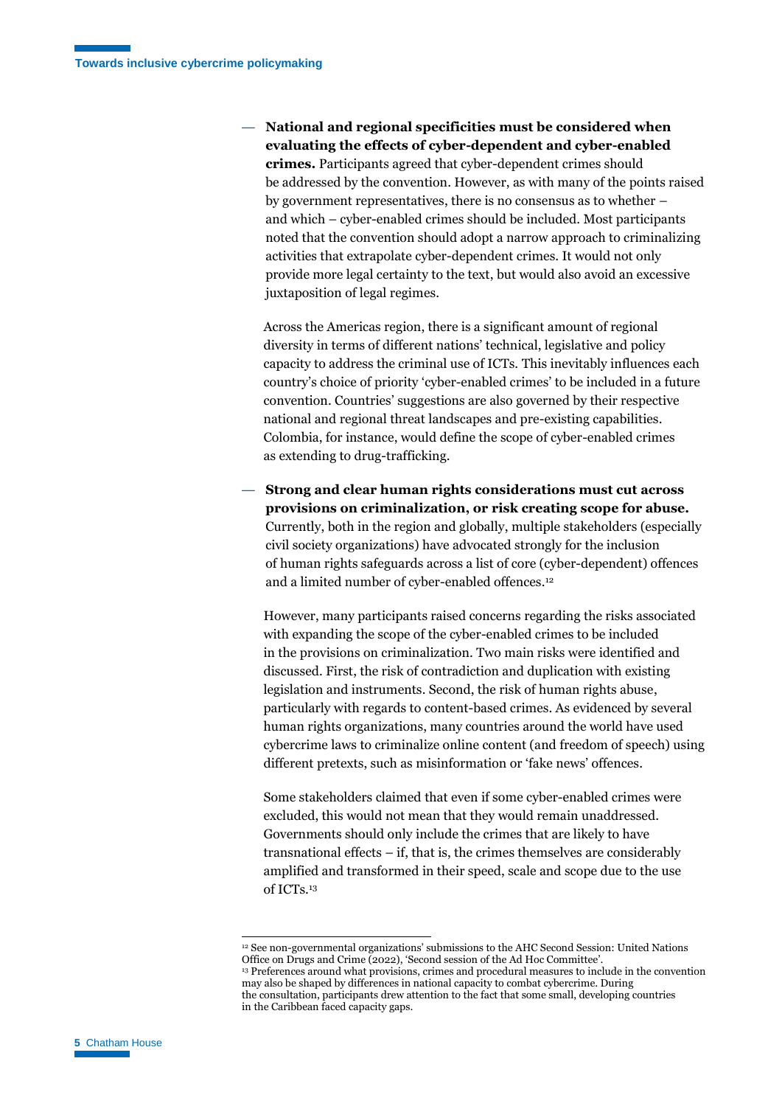— **National and regional specificities must be considered when evaluating the effects of cyber-dependent and cyber-enabled crimes.** Participants agreed that cyber-dependent crimes should be addressed by the convention. However, as with many of the points raised by government representatives, there is no consensus as to whether – and which – cyber-enabled crimes should be included. Most participants noted that the convention should adopt a narrow approach to criminalizing activities that extrapolate cyber-dependent crimes. It would not only provide more legal certainty to the text, but would also avoid an excessive juxtaposition of legal regimes.

Across the Americas region, there is a significant amount of regional diversity in terms of different nations' technical, legislative and policy capacity to address the criminal use of ICTs. This inevitably influences each country's choice of priority 'cyber-enabled crimes' to be included in a future convention. Countries' suggestions are also governed by their respective national and regional threat landscapes and pre-existing capabilities. Colombia, for instance, would define the scope of cyber-enabled crimes as extending to drug-trafficking.

— **Strong and clear human rights considerations must cut across provisions on criminalization, or risk creating scope for abuse.** Currently, both in the region and globally, multiple stakeholders (especially civil society organizations) have advocated strongly for the inclusion of human rights safeguards across a list of core (cyber-dependent) offences and a limited number of cyber-enabled offences.<sup>12</sup>

However, many participants raised concerns regarding the risks associated with expanding the scope of the cyber-enabled crimes to be included in the provisions on criminalization. Two main risks were identified and discussed. First, the risk of contradiction and duplication with existing legislation and instruments. Second, the risk of human rights abuse, particularly with regards to content-based crimes. As evidenced by several human rights organizations, many countries around the world have used cybercrime laws to criminalize online content (and freedom of speech) using different pretexts, such as misinformation or 'fake news' offences.

Some stakeholders claimed that even if some cyber-enabled crimes were excluded, this would not mean that they would remain unaddressed. Governments should only include the crimes that are likely to have transnational effects – if, that is, the crimes themselves are considerably amplified and transformed in their speed, scale and scope due to the use of ICTs. 13

<sup>12</sup> See non-governmental organizations' submissions to the AHC Second Session: United Nations Office on Drugs and Crime (2022), 'Second session of the Ad Hoc Committee'.

<sup>13</sup> Preferences around what provisions, crimes and procedural measures to include in the convention may also be shaped by differences in national capacity to combat cybercrime. During the consultation, participants drew attention to the fact that some small, developing countries in the Caribbean faced capacity gaps.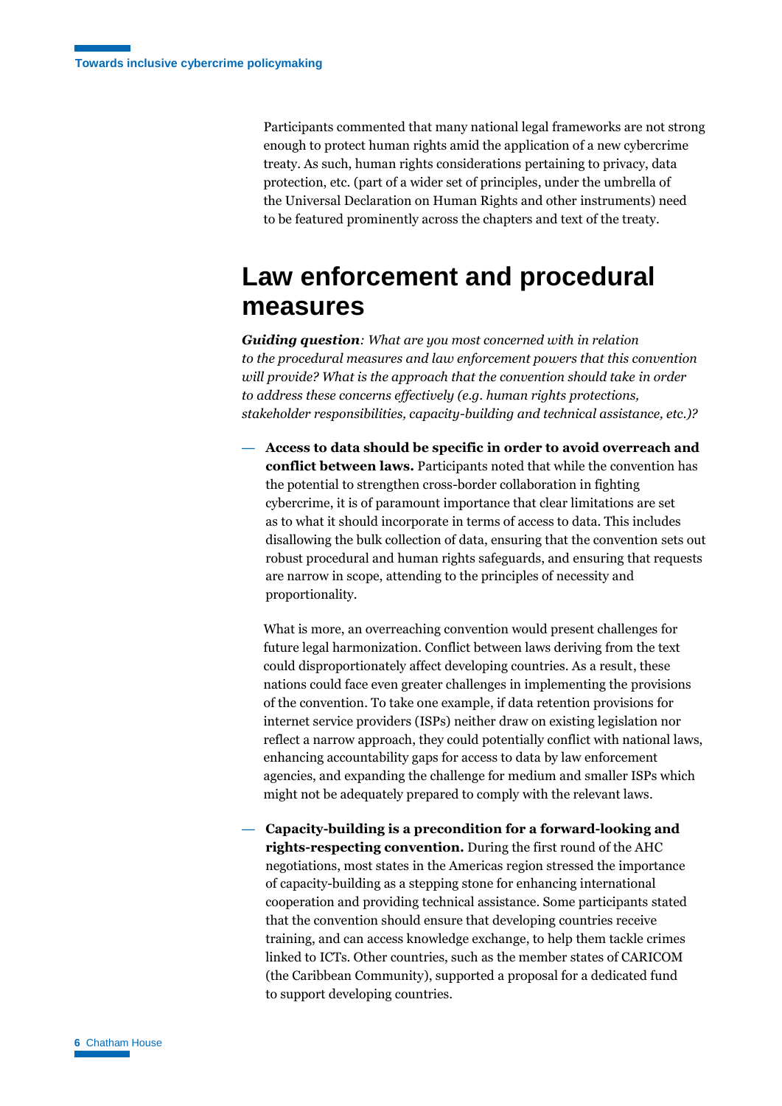Participants commented that many national legal frameworks are not strong enough to protect human rights amid the application of a new cybercrime treaty. As such, human rights considerations pertaining to privacy, data protection, etc. (part of a wider set of principles, under the umbrella of the Universal Declaration on Human Rights and other instruments) need to be featured prominently across the chapters and text of the treaty.

## **Law enforcement and procedural measures**

*Guiding question: What are you most concerned with in relation to the procedural measures and law enforcement powers that this convention will provide? What is the approach that the convention should take in order to address these concerns effectively (e.g. human rights protections, stakeholder responsibilities, capacity-building and technical assistance, etc.)?*

— **Access to data should be specific in order to avoid overreach and conflict between laws.** Participants noted that while the convention has the potential to strengthen cross-border collaboration in fighting cybercrime, it is of paramount importance that clear limitations are set as to what it should incorporate in terms of access to data. This includes disallowing the bulk collection of data, ensuring that the convention sets out robust procedural and human rights safeguards, and ensuring that requests are narrow in scope, attending to the principles of necessity and proportionality.

What is more, an overreaching convention would present challenges for future legal harmonization. Conflict between laws deriving from the text could disproportionately affect developing countries. As a result, these nations could face even greater challenges in implementing the provisions of the convention. To take one example, if data retention provisions for internet service providers (ISPs) neither draw on existing legislation nor reflect a narrow approach, they could potentially conflict with national laws, enhancing accountability gaps for access to data by law enforcement agencies, and expanding the challenge for medium and smaller ISPs which might not be adequately prepared to comply with the relevant laws.

— **Capacity-building is a precondition for a forward-looking and rights-respecting convention.** During the first round of the AHC negotiations, most states in the Americas region stressed the importance of capacity-building as a stepping stone for enhancing international cooperation and providing technical assistance. Some participants stated that the convention should ensure that developing countries receive training, and can access knowledge exchange, to help them tackle crimes linked to ICTs. Other countries, such as the member states of CARICOM (the Caribbean Community), supported a proposal for a dedicated fund to support developing countries.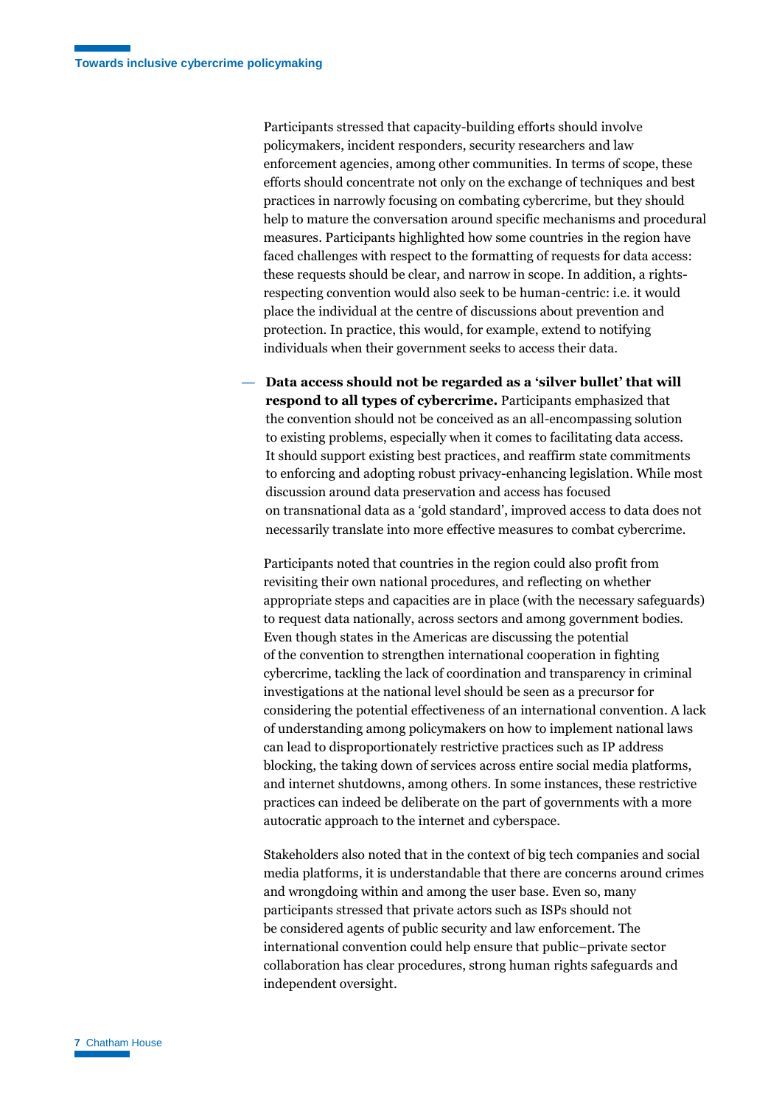Participants stressed that capacity-building efforts should involve policymakers, incident responders, security researchers and law enforcement agencies, among other communities. In terms of scope, these efforts should concentrate not only on the exchange of techniques and best practices in narrowly focusing on combating cybercrime, but they should help to mature the conversation around specific mechanisms and procedural measures. Participants highlighted how some countries in the region have faced challenges with respect to the formatting of requests for data access: these requests should be clear, and narrow in scope. In addition, a rightsrespecting convention would also seek to be human-centric: i.e. it would place the individual at the centre of discussions about prevention and protection. In practice, this would, for example, extend to notifying individuals when their government seeks to access their data.

— **Data access should not be regarded as a 'silver bullet' that will respond to all types of cybercrime.** Participants emphasized that the convention should not be conceived as an all-encompassing solution to existing problems, especially when it comes to facilitating data access. It should support existing best practices, and reaffirm state commitments to enforcing and adopting robust privacy-enhancing legislation. While most discussion around data preservation and access has focused on transnational data as a 'gold standard', improved access to data does not necessarily translate into more effective measures to combat cybercrime.

Participants noted that countries in the region could also profit from revisiting their own national procedures, and reflecting on whether appropriate steps and capacities are in place (with the necessary safeguards) to request data nationally, across sectors and among government bodies. Even though states in the Americas are discussing the potential of the convention to strengthen international cooperation in fighting cybercrime, tackling the lack of coordination and transparency in criminal investigations at the national level should be seen as a precursor for considering the potential effectiveness of an international convention. A lack of understanding among policymakers on how to implement national laws can lead to disproportionately restrictive practices such as IP address blocking, the taking down of services across entire social media platforms, and internet shutdowns, among others. In some instances, these restrictive practices can indeed be deliberate on the part of governments with a more autocratic approach to the internet and cyberspace.

Stakeholders also noted that in the context of big tech companies and social media platforms, it is understandable that there are concerns around crimes and wrongdoing within and among the user base. Even so, many participants stressed that private actors such as ISPs should not be considered agents of public security and law enforcement. The international convention could help ensure that public–private sector collaboration has clear procedures, strong human rights safeguards and independent oversight.